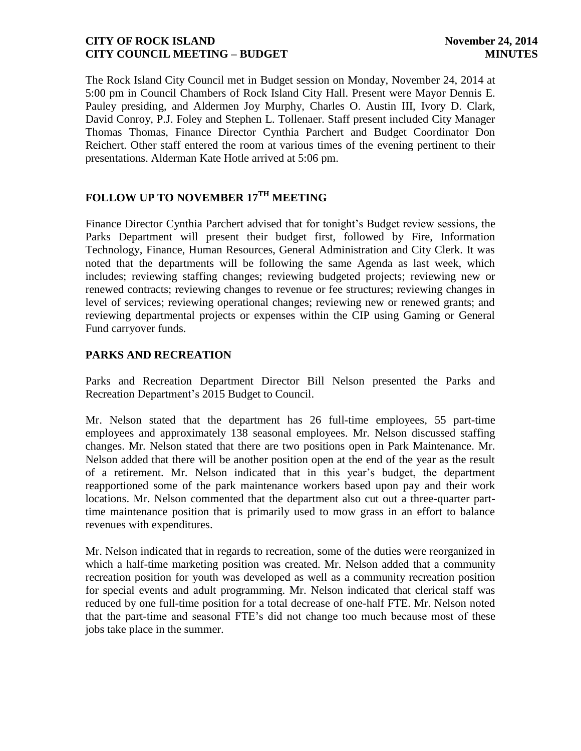The Rock Island City Council met in Budget session on Monday, November 24, 2014 at 5:00 pm in Council Chambers of Rock Island City Hall. Present were Mayor Dennis E. Pauley presiding, and Aldermen Joy Murphy, Charles O. Austin III, Ivory D. Clark, David Conroy, P.J. Foley and Stephen L. Tollenaer. Staff present included City Manager Thomas Thomas, Finance Director Cynthia Parchert and Budget Coordinator Don Reichert. Other staff entered the room at various times of the evening pertinent to their presentations. Alderman Kate Hotle arrived at 5:06 pm.

# **FOLLOW UP TO NOVEMBER 17TH MEETING**

Finance Director Cynthia Parchert advised that for tonight's Budget review sessions, the Parks Department will present their budget first, followed by Fire, Information Technology, Finance, Human Resources, General Administration and City Clerk. It was noted that the departments will be following the same Agenda as last week, which includes; reviewing staffing changes; reviewing budgeted projects; reviewing new or renewed contracts; reviewing changes to revenue or fee structures; reviewing changes in level of services; reviewing operational changes; reviewing new or renewed grants; and reviewing departmental projects or expenses within the CIP using Gaming or General Fund carryover funds.

## **PARKS AND RECREATION**

Parks and Recreation Department Director Bill Nelson presented the Parks and Recreation Department's 2015 Budget to Council.

Mr. Nelson stated that the department has 26 full-time employees, 55 part-time employees and approximately 138 seasonal employees. Mr. Nelson discussed staffing changes. Mr. Nelson stated that there are two positions open in Park Maintenance. Mr. Nelson added that there will be another position open at the end of the year as the result of a retirement. Mr. Nelson indicated that in this year's budget, the department reapportioned some of the park maintenance workers based upon pay and their work locations. Mr. Nelson commented that the department also cut out a three-quarter parttime maintenance position that is primarily used to mow grass in an effort to balance revenues with expenditures.

Mr. Nelson indicated that in regards to recreation, some of the duties were reorganized in which a half-time marketing position was created. Mr. Nelson added that a community recreation position for youth was developed as well as a community recreation position for special events and adult programming. Mr. Nelson indicated that clerical staff was reduced by one full-time position for a total decrease of one-half FTE. Mr. Nelson noted that the part-time and seasonal FTE's did not change too much because most of these jobs take place in the summer.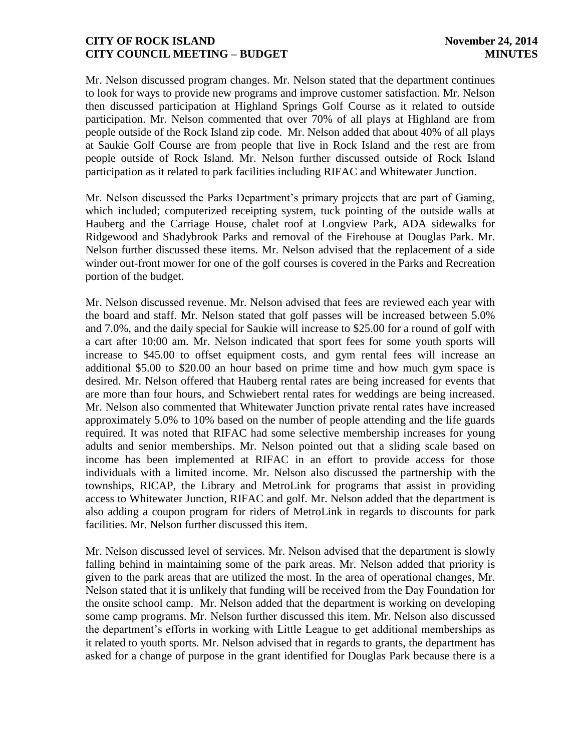Mr. Nelson discussed program changes. Mr. Nelson stated that the department continues to look for ways to provide new programs and improve customer satisfaction. Mr. Nelson then discussed participation at Highland Springs Golf Course as it related to outside participation. Mr. Nelson commented that over 70% of all plays at Highland are from people outside of the Rock Island zip code. Mr. Nelson added that about 40% of all plays at Saukie Golf Course are from people that live in Rock Island and the rest are from people outside of Rock Island. Mr. Nelson further discussed outside of Rock Island participation as it related to park facilities including RIFAC and Whitewater Junction.

Mr. Nelson discussed the Parks Department's primary projects that are part of Gaming, which included; computerized receipting system, tuck pointing of the outside walls at Hauberg and the Carriage House, chalet roof at Longview Park, ADA sidewalks for Ridgewood and Shadybrook Parks and removal of the Firehouse at Douglas Park. Mr. Nelson further discussed these items. Mr. Nelson advised that the replacement of a side winder out-front mower for one of the golf courses is covered in the Parks and Recreation portion of the budget.

Mr. Nelson discussed revenue. Mr. Nelson advised that fees are reviewed each year with the board and staff. Mr. Nelson stated that golf passes will be increased between 5.0% and 7.0%, and the daily special for Saukie will increase to \$25.00 for a round of golf with a cart after 10:00 am. Mr. Nelson indicated that sport fees for some youth sports will increase to \$45.00 to offset equipment costs, and gym rental fees will increase an additional \$5.00 to \$20.00 an hour based on prime time and how much gym space is desired. Mr. Nelson offered that Hauberg rental rates are being increased for events that are more than four hours, and Schwiebert rental rates for weddings are being increased. Mr. Nelson also commented that Whitewater Junction private rental rates have increased approximately 5.0% to 10% based on the number of people attending and the life guards required. It was noted that RIFAC had some selective membership increases for young adults and senior memberships. Mr. Nelson pointed out that a sliding scale based on income has been implemented at RIFAC in an effort to provide access for those individuals with a limited income. Mr. Nelson also discussed the partnership with the townships, RICAP, the Library and MetroLink for programs that assist in providing access to Whitewater Junction, RIFAC and golf. Mr. Nelson added that the department is also adding a coupon program for riders of MetroLink in regards to discounts for park facilities. Mr. Nelson further discussed this item.

Mr. Nelson discussed level of services. Mr. Nelson advised that the department is slowly falling behind in maintaining some of the park areas. Mr. Nelson added that priority is given to the park areas that are utilized the most. In the area of operational changes, Mr. Nelson stated that it is unlikely that funding will be received from the Day Foundation for the onsite school camp. Mr. Nelson added that the department is working on developing some camp programs. Mr. Nelson further discussed this item. Mr. Nelson also discussed the department's efforts in working with Little League to get additional memberships as it related to youth sports. Mr. Nelson advised that in regards to grants, the department has asked for a change of purpose in the grant identified for Douglas Park because there is a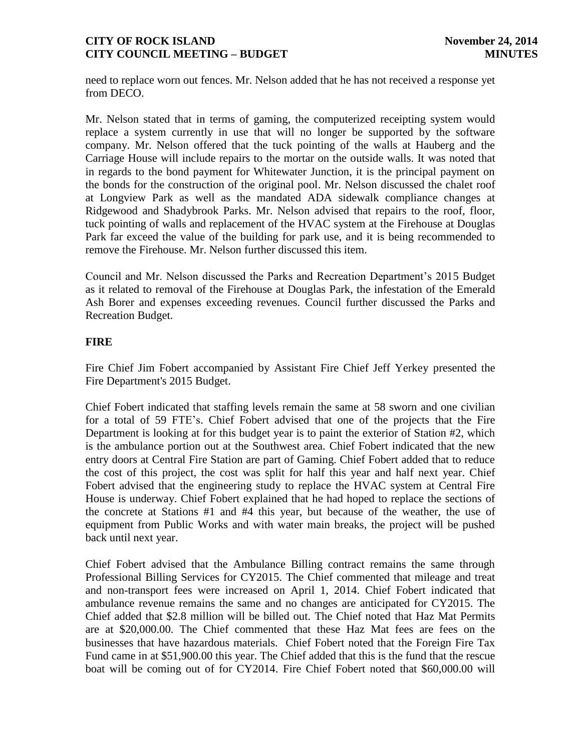need to replace worn out fences. Mr. Nelson added that he has not received a response yet from DECO.

Mr. Nelson stated that in terms of gaming, the computerized receipting system would replace a system currently in use that will no longer be supported by the software company. Mr. Nelson offered that the tuck pointing of the walls at Hauberg and the Carriage House will include repairs to the mortar on the outside walls. It was noted that in regards to the bond payment for Whitewater Junction, it is the principal payment on the bonds for the construction of the original pool. Mr. Nelson discussed the chalet roof at Longview Park as well as the mandated ADA sidewalk compliance changes at Ridgewood and Shadybrook Parks. Mr. Nelson advised that repairs to the roof, floor, tuck pointing of walls and replacement of the HVAC system at the Firehouse at Douglas Park far exceed the value of the building for park use, and it is being recommended to remove the Firehouse. Mr. Nelson further discussed this item.

Council and Mr. Nelson discussed the Parks and Recreation Department's 2015 Budget as it related to removal of the Firehouse at Douglas Park, the infestation of the Emerald Ash Borer and expenses exceeding revenues. Council further discussed the Parks and Recreation Budget.

## **FIRE**

Fire Chief Jim Fobert accompanied by Assistant Fire Chief Jeff Yerkey presented the Fire Department's 2015 Budget.

Chief Fobert indicated that staffing levels remain the same at 58 sworn and one civilian for a total of 59 FTE's. Chief Fobert advised that one of the projects that the Fire Department is looking at for this budget year is to paint the exterior of Station #2, which is the ambulance portion out at the Southwest area. Chief Fobert indicated that the new entry doors at Central Fire Station are part of Gaming. Chief Fobert added that to reduce the cost of this project, the cost was split for half this year and half next year. Chief Fobert advised that the engineering study to replace the HVAC system at Central Fire House is underway. Chief Fobert explained that he had hoped to replace the sections of the concrete at Stations #1 and #4 this year, but because of the weather, the use of equipment from Public Works and with water main breaks, the project will be pushed back until next year.

Chief Fobert advised that the Ambulance Billing contract remains the same through Professional Billing Services for CY2015. The Chief commented that mileage and treat and non-transport fees were increased on April 1, 2014. Chief Fobert indicated that ambulance revenue remains the same and no changes are anticipated for CY2015. The Chief added that \$2.8 million will be billed out. The Chief noted that Haz Mat Permits are at \$20,000.00. The Chief commented that these Haz Mat fees are fees on the businesses that have hazardous materials. Chief Fobert noted that the Foreign Fire Tax Fund came in at \$51,900.00 this year. The Chief added that this is the fund that the rescue boat will be coming out of for CY2014. Fire Chief Fobert noted that \$60,000.00 will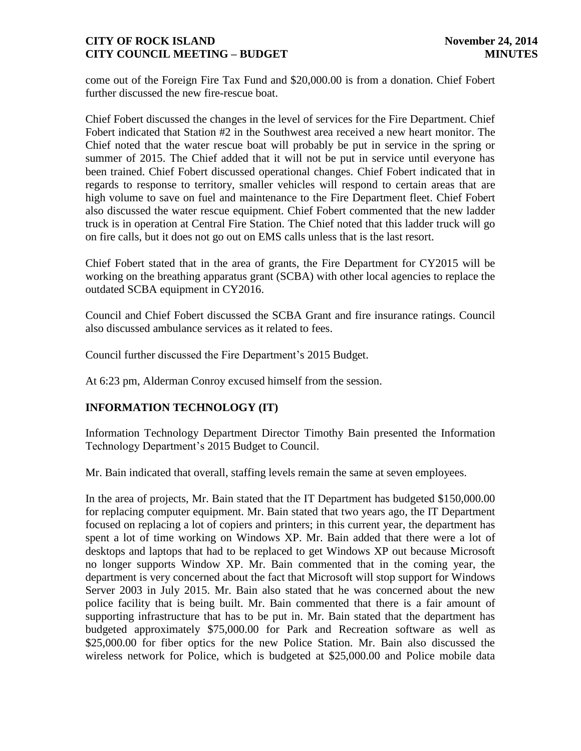come out of the Foreign Fire Tax Fund and \$20,000.00 is from a donation. Chief Fobert further discussed the new fire-rescue boat.

Chief Fobert discussed the changes in the level of services for the Fire Department. Chief Fobert indicated that Station #2 in the Southwest area received a new heart monitor. The Chief noted that the water rescue boat will probably be put in service in the spring or summer of 2015. The Chief added that it will not be put in service until everyone has been trained. Chief Fobert discussed operational changes. Chief Fobert indicated that in regards to response to territory, smaller vehicles will respond to certain areas that are high volume to save on fuel and maintenance to the Fire Department fleet. Chief Fobert also discussed the water rescue equipment. Chief Fobert commented that the new ladder truck is in operation at Central Fire Station. The Chief noted that this ladder truck will go on fire calls, but it does not go out on EMS calls unless that is the last resort.

Chief Fobert stated that in the area of grants, the Fire Department for CY2015 will be working on the breathing apparatus grant (SCBA) with other local agencies to replace the outdated SCBA equipment in CY2016.

Council and Chief Fobert discussed the SCBA Grant and fire insurance ratings. Council also discussed ambulance services as it related to fees.

Council further discussed the Fire Department's 2015 Budget.

At 6:23 pm, Alderman Conroy excused himself from the session.

## **INFORMATION TECHNOLOGY (IT)**

Information Technology Department Director Timothy Bain presented the Information Technology Department's 2015 Budget to Council.

Mr. Bain indicated that overall, staffing levels remain the same at seven employees.

In the area of projects, Mr. Bain stated that the IT Department has budgeted \$150,000.00 for replacing computer equipment. Mr. Bain stated that two years ago, the IT Department focused on replacing a lot of copiers and printers; in this current year, the department has spent a lot of time working on Windows XP. Mr. Bain added that there were a lot of desktops and laptops that had to be replaced to get Windows XP out because Microsoft no longer supports Window XP. Mr. Bain commented that in the coming year, the department is very concerned about the fact that Microsoft will stop support for Windows Server 2003 in July 2015. Mr. Bain also stated that he was concerned about the new police facility that is being built. Mr. Bain commented that there is a fair amount of supporting infrastructure that has to be put in. Mr. Bain stated that the department has budgeted approximately \$75,000.00 for Park and Recreation software as well as \$25,000.00 for fiber optics for the new Police Station. Mr. Bain also discussed the wireless network for Police, which is budgeted at \$25,000.00 and Police mobile data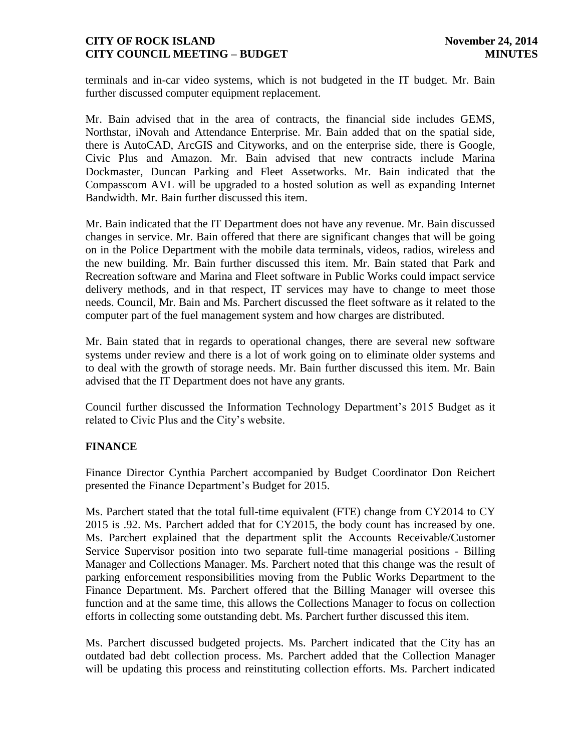terminals and in-car video systems, which is not budgeted in the IT budget. Mr. Bain further discussed computer equipment replacement.

Mr. Bain advised that in the area of contracts, the financial side includes GEMS, Northstar, iNovah and Attendance Enterprise. Mr. Bain added that on the spatial side, there is AutoCAD, ArcGIS and Cityworks, and on the enterprise side, there is Google, Civic Plus and Amazon. Mr. Bain advised that new contracts include Marina Dockmaster, Duncan Parking and Fleet Assetworks. Mr. Bain indicated that the Compasscom AVL will be upgraded to a hosted solution as well as expanding Internet Bandwidth. Mr. Bain further discussed this item.

Mr. Bain indicated that the IT Department does not have any revenue. Mr. Bain discussed changes in service. Mr. Bain offered that there are significant changes that will be going on in the Police Department with the mobile data terminals, videos, radios, wireless and the new building. Mr. Bain further discussed this item. Mr. Bain stated that Park and Recreation software and Marina and Fleet software in Public Works could impact service delivery methods, and in that respect, IT services may have to change to meet those needs. Council, Mr. Bain and Ms. Parchert discussed the fleet software as it related to the computer part of the fuel management system and how charges are distributed.

Mr. Bain stated that in regards to operational changes, there are several new software systems under review and there is a lot of work going on to eliminate older systems and to deal with the growth of storage needs. Mr. Bain further discussed this item. Mr. Bain advised that the IT Department does not have any grants.

Council further discussed the Information Technology Department's 2015 Budget as it related to Civic Plus and the City's website.

## **FINANCE**

Finance Director Cynthia Parchert accompanied by Budget Coordinator Don Reichert presented the Finance Department's Budget for 2015.

Ms. Parchert stated that the total full-time equivalent (FTE) change from CY2014 to CY 2015 is .92. Ms. Parchert added that for CY2015, the body count has increased by one. Ms. Parchert explained that the department split the Accounts Receivable/Customer Service Supervisor position into two separate full-time managerial positions - Billing Manager and Collections Manager. Ms. Parchert noted that this change was the result of parking enforcement responsibilities moving from the Public Works Department to the Finance Department. Ms. Parchert offered that the Billing Manager will oversee this function and at the same time, this allows the Collections Manager to focus on collection efforts in collecting some outstanding debt. Ms. Parchert further discussed this item.

Ms. Parchert discussed budgeted projects. Ms. Parchert indicated that the City has an outdated bad debt collection process. Ms. Parchert added that the Collection Manager will be updating this process and reinstituting collection efforts. Ms. Parchert indicated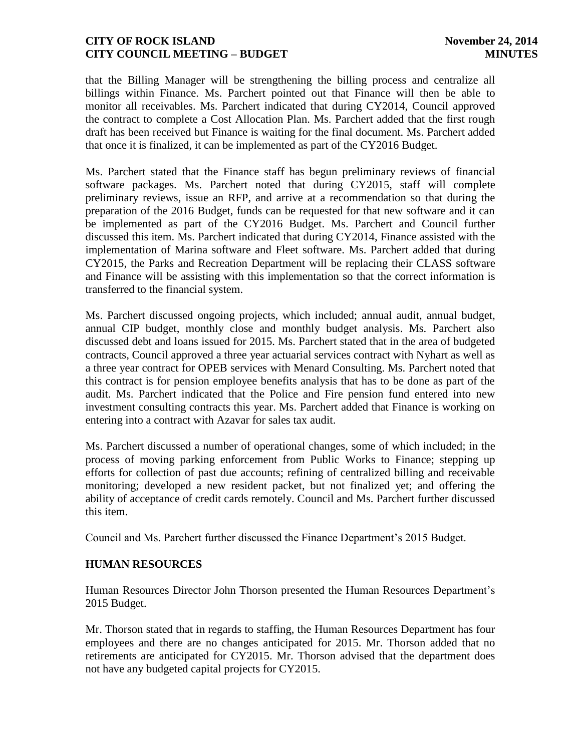that the Billing Manager will be strengthening the billing process and centralize all billings within Finance. Ms. Parchert pointed out that Finance will then be able to monitor all receivables. Ms. Parchert indicated that during CY2014, Council approved the contract to complete a Cost Allocation Plan. Ms. Parchert added that the first rough draft has been received but Finance is waiting for the final document. Ms. Parchert added that once it is finalized, it can be implemented as part of the CY2016 Budget.

Ms. Parchert stated that the Finance staff has begun preliminary reviews of financial software packages. Ms. Parchert noted that during CY2015, staff will complete preliminary reviews, issue an RFP, and arrive at a recommendation so that during the preparation of the 2016 Budget, funds can be requested for that new software and it can be implemented as part of the CY2016 Budget. Ms. Parchert and Council further discussed this item. Ms. Parchert indicated that during CY2014, Finance assisted with the implementation of Marina software and Fleet software. Ms. Parchert added that during CY2015, the Parks and Recreation Department will be replacing their CLASS software and Finance will be assisting with this implementation so that the correct information is transferred to the financial system.

Ms. Parchert discussed ongoing projects, which included; annual audit, annual budget, annual CIP budget, monthly close and monthly budget analysis. Ms. Parchert also discussed debt and loans issued for 2015. Ms. Parchert stated that in the area of budgeted contracts, Council approved a three year actuarial services contract with Nyhart as well as a three year contract for OPEB services with Menard Consulting. Ms. Parchert noted that this contract is for pension employee benefits analysis that has to be done as part of the audit. Ms. Parchert indicated that the Police and Fire pension fund entered into new investment consulting contracts this year. Ms. Parchert added that Finance is working on entering into a contract with Azavar for sales tax audit.

Ms. Parchert discussed a number of operational changes, some of which included; in the process of moving parking enforcement from Public Works to Finance; stepping up efforts for collection of past due accounts; refining of centralized billing and receivable monitoring; developed a new resident packet, but not finalized yet; and offering the ability of acceptance of credit cards remotely. Council and Ms. Parchert further discussed this item.

Council and Ms. Parchert further discussed the Finance Department's 2015 Budget.

## **HUMAN RESOURCES**

Human Resources Director John Thorson presented the Human Resources Department's 2015 Budget.

Mr. Thorson stated that in regards to staffing, the Human Resources Department has four employees and there are no changes anticipated for 2015. Mr. Thorson added that no retirements are anticipated for CY2015. Mr. Thorson advised that the department does not have any budgeted capital projects for CY2015.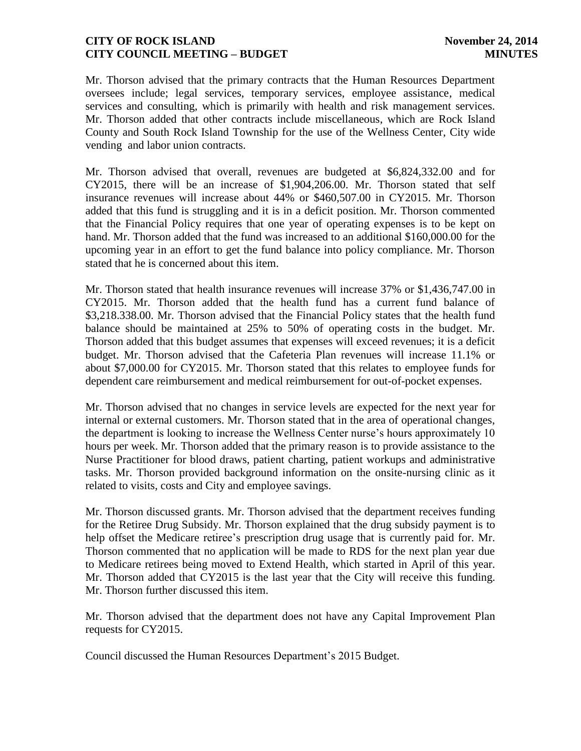Mr. Thorson advised that the primary contracts that the Human Resources Department oversees include; legal services, temporary services, employee assistance, medical services and consulting, which is primarily with health and risk management services. Mr. Thorson added that other contracts include miscellaneous, which are Rock Island County and South Rock Island Township for the use of the Wellness Center, City wide vending and labor union contracts.

Mr. Thorson advised that overall, revenues are budgeted at \$6,824,332.00 and for CY2015, there will be an increase of \$1,904,206.00. Mr. Thorson stated that self insurance revenues will increase about 44% or \$460,507.00 in CY2015. Mr. Thorson added that this fund is struggling and it is in a deficit position. Mr. Thorson commented that the Financial Policy requires that one year of operating expenses is to be kept on hand. Mr. Thorson added that the fund was increased to an additional \$160,000.00 for the upcoming year in an effort to get the fund balance into policy compliance. Mr. Thorson stated that he is concerned about this item.

Mr. Thorson stated that health insurance revenues will increase 37% or \$1,436,747.00 in CY2015. Mr. Thorson added that the health fund has a current fund balance of \$3,218.338.00. Mr. Thorson advised that the Financial Policy states that the health fund balance should be maintained at 25% to 50% of operating costs in the budget. Mr. Thorson added that this budget assumes that expenses will exceed revenues; it is a deficit budget. Mr. Thorson advised that the Cafeteria Plan revenues will increase 11.1% or about \$7,000.00 for CY2015. Mr. Thorson stated that this relates to employee funds for dependent care reimbursement and medical reimbursement for out-of-pocket expenses.

Mr. Thorson advised that no changes in service levels are expected for the next year for internal or external customers. Mr. Thorson stated that in the area of operational changes, the department is looking to increase the Wellness Center nurse's hours approximately 10 hours per week. Mr. Thorson added that the primary reason is to provide assistance to the Nurse Practitioner for blood draws, patient charting, patient workups and administrative tasks. Mr. Thorson provided background information on the onsite-nursing clinic as it related to visits, costs and City and employee savings.

Mr. Thorson discussed grants. Mr. Thorson advised that the department receives funding for the Retiree Drug Subsidy. Mr. Thorson explained that the drug subsidy payment is to help offset the Medicare retiree's prescription drug usage that is currently paid for. Mr. Thorson commented that no application will be made to RDS for the next plan year due to Medicare retirees being moved to Extend Health, which started in April of this year. Mr. Thorson added that CY2015 is the last year that the City will receive this funding. Mr. Thorson further discussed this item.

Mr. Thorson advised that the department does not have any Capital Improvement Plan requests for CY2015.

Council discussed the Human Resources Department's 2015 Budget.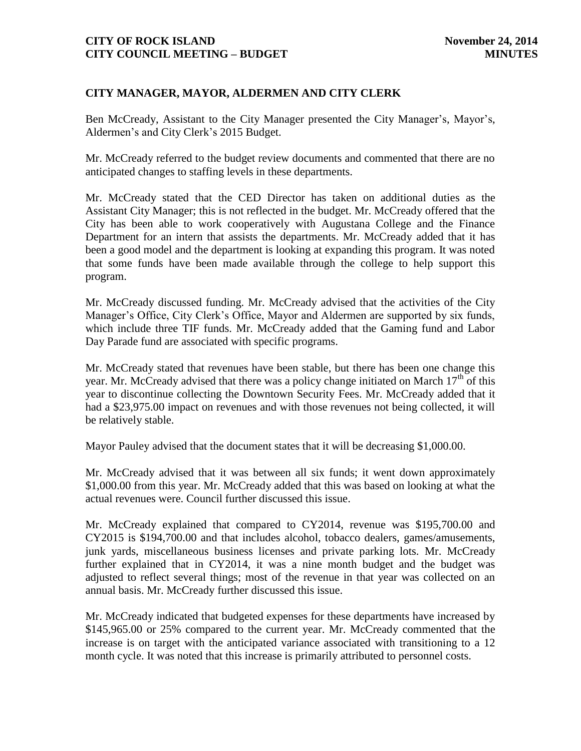## **CITY MANAGER, MAYOR, ALDERMEN AND CITY CLERK**

Ben McCready, Assistant to the City Manager presented the City Manager's, Mayor's, Aldermen's and City Clerk's 2015 Budget.

Mr. McCready referred to the budget review documents and commented that there are no anticipated changes to staffing levels in these departments.

Mr. McCready stated that the CED Director has taken on additional duties as the Assistant City Manager; this is not reflected in the budget. Mr. McCready offered that the City has been able to work cooperatively with Augustana College and the Finance Department for an intern that assists the departments. Mr. McCready added that it has been a good model and the department is looking at expanding this program. It was noted that some funds have been made available through the college to help support this program.

Mr. McCready discussed funding. Mr. McCready advised that the activities of the City Manager's Office, City Clerk's Office, Mayor and Aldermen are supported by six funds, which include three TIF funds. Mr. McCready added that the Gaming fund and Labor Day Parade fund are associated with specific programs.

Mr. McCready stated that revenues have been stable, but there has been one change this year. Mr. McCready advised that there was a policy change initiated on March  $17<sup>th</sup>$  of this year to discontinue collecting the Downtown Security Fees. Mr. McCready added that it had a \$23,975.00 impact on revenues and with those revenues not being collected, it will be relatively stable.

Mayor Pauley advised that the document states that it will be decreasing \$1,000.00.

Mr. McCready advised that it was between all six funds; it went down approximately \$1,000.00 from this year. Mr. McCready added that this was based on looking at what the actual revenues were. Council further discussed this issue.

Mr. McCready explained that compared to CY2014, revenue was \$195,700.00 and CY2015 is \$194,700.00 and that includes alcohol, tobacco dealers, games/amusements, junk yards, miscellaneous business licenses and private parking lots. Mr. McCready further explained that in CY2014, it was a nine month budget and the budget was adjusted to reflect several things; most of the revenue in that year was collected on an annual basis. Mr. McCready further discussed this issue.

Mr. McCready indicated that budgeted expenses for these departments have increased by \$145,965.00 or 25% compared to the current year. Mr. McCready commented that the increase is on target with the anticipated variance associated with transitioning to a 12 month cycle. It was noted that this increase is primarily attributed to personnel costs.